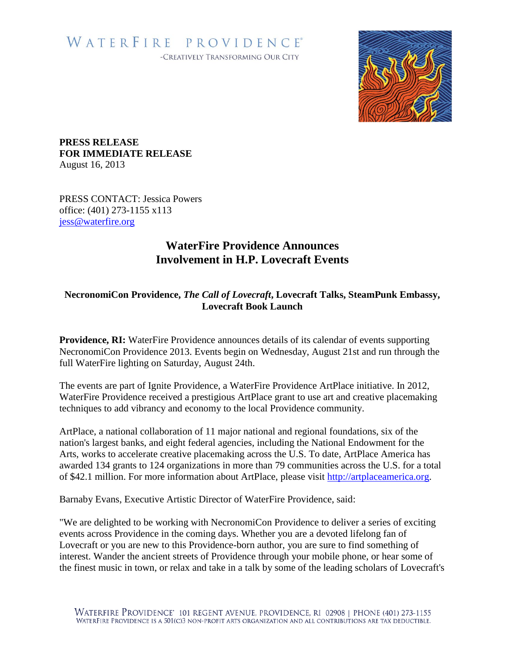## WATERFIRE PROVIDENCE® -CREATIVELY TRANSFORMING OUR CITY



**PRESS RELEASE FOR IMMEDIATE RELEASE** August 16, 2013

PRESS CONTACT: Jessica Powers office: (401) 273-1155 x113 [jess@waterfire.org](mailto:jess@waterfire.org)

## **WaterFire Providence Announces Involvement in H.P. Lovecraft Events**

## **NecronomiCon Providence,** *The Call of Lovecraft***, Lovecraft Talks, SteamPunk Embassy, Lovecraft Book Launch**

**Providence, RI:** WaterFire Providence announces details of its calendar of events supporting NecronomiCon Providence 2013. Events begin on Wednesday, August 21st and run through the full WaterFire lighting on Saturday, August 24th.

The events are part of Ignite Providence, a WaterFire Providence ArtPlace initiative. In 2012, WaterFire Providence received a prestigious ArtPlace grant to use art and creative placemaking techniques to add vibrancy and economy to the local Providence community.

ArtPlace, a national collaboration of 11 major national and regional foundations, six of the nation's largest banks, and eight federal agencies, including the National Endowment for the Arts, works to accelerate creative placemaking across the U.S. To date, ArtPlace America has awarded 134 grants to 124 organizations in more than 79 communities across the U.S. for a total of \$42.1 million. For more information about ArtPlace, please visit [http://artplaceamerica.org.](http://artplaceamerica.org/)

Barnaby Evans, Executive Artistic Director of WaterFire Providence, said:

"We are delighted to be working with NecronomiCon Providence to deliver a series of exciting events across Providence in the coming days. Whether you are a devoted lifelong fan of Lovecraft or you are new to this Providence-born author, you are sure to find something of interest. Wander the ancient streets of Providence through your mobile phone, or hear some of the finest music in town, or relax and take in a talk by some of the leading scholars of Lovecraft's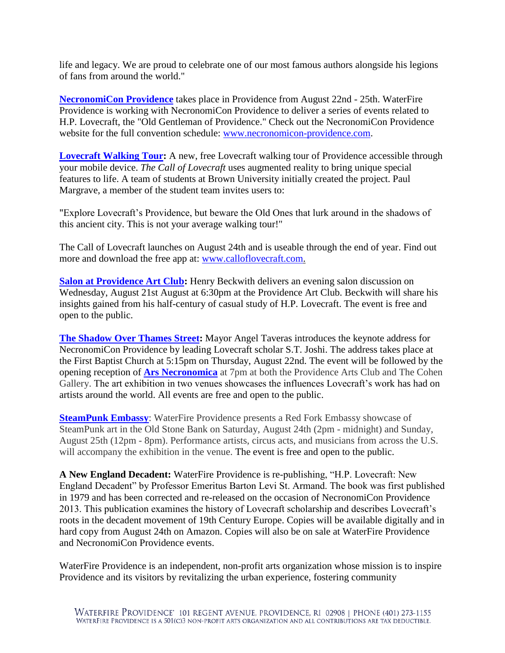life and legacy. We are proud to celebrate one of our most famous authors alongside his legions of fans from around the world."

**[NecronomiCon Providence](http://necronomicon-providence.com/)** takes place in Providence from August 22nd - 25th. WaterFire Providence is working with NecronomiCon Providence to deliver a series of events related to H.P. Lovecraft, the "Old Gentleman of Providence." Check out the NecronomiCon Providence website for the full convention schedule: [www.necronomicon-providence.com.](http://www.necronomicon-providence.com/)

**[Lovecraft Walking Tour:](http://www.calloflovecraft.com/)** A new, free Lovecraft walking tour of Providence accessible through your mobile device. *The Call of Lovecraft* uses augmented reality to bring unique special features to life. A team of students at Brown University initially created the project. Paul Margrave, a member of the student team invites users to:

"Explore Lovecraft's Providence, but beware the Old Ones that lurk around in the shadows of this ancient city. This is not your average walking tour!"

The Call of Lovecraft launches on August 24th and is useable through the end of year. Find out more and download the free app at: [www.calloflovecraft.com.](http://www.calloflovecraft.com/)

**[Salon at Providence Art Club:](http://igniteprovidence.com/events/hp-lovecraft-salon-at-providence-art-club/)** Henry Beckwith delivers an evening salon discussion on Wednesday, August 21st August at 6:30pm at the Providence Art Club. Beckwith will share his insights gained from his half-century of casual study of H.P. Lovecraft. The event is free and open to the public.

**[The Shadow Over Thames Street:](http://igniteprovidence.com/events/necronomicon-keynote-address/)** Mayor Angel Taveras introduces the keynote address for NecronomiCon Providence by leading Lovecraft scholar S.T. Joshi. The address takes place at the First Baptist Church at 5:15pm on Thursday, August 22nd. The event will be followed by the opening reception of **[Ars Necronomica](http://igniteprovidence.com/events/ars-necronomica-lovecraft-exhibition-opening-receptions/)** at 7pm at both the Providence Arts Club and The Cohen Gallery. The art exhibition in two venues showcases the influences Lovecraft's work has had on artists around the world. All events are free and open to the public.

**[SteamPunk Embassy](http://igniteprovidence.com/events/red-fork-empire-steampunk-embassy/):** WaterFire Providence presents a Red Fork Embassy showcase of SteamPunk art in the Old Stone Bank on Saturday, August 24th (2pm - midnight) and Sunday, August 25th (12pm - 8pm). Performance artists, circus acts, and musicians from across the U.S. will accompany the exhibition in the venue. The event is free and open to the public.

**A New England Decadent:** WaterFire Providence is re-publishing, "H.P. Lovecraft: New England Decadent" by Professor Emeritus Barton Levi St. Armand. The book was first published in 1979 and has been corrected and re-released on the occasion of NecronomiCon Providence 2013. This publication examines the history of Lovecraft scholarship and describes Lovecraft's roots in the decadent movement of 19th Century Europe. Copies will be available digitally and in hard copy from August 24th on Amazon. Copies will also be on sale at WaterFire Providence and NecronomiCon Providence events.

WaterFire Providence is an independent, non-profit arts organization whose mission is to inspire Providence and its visitors by revitalizing the urban experience, fostering community